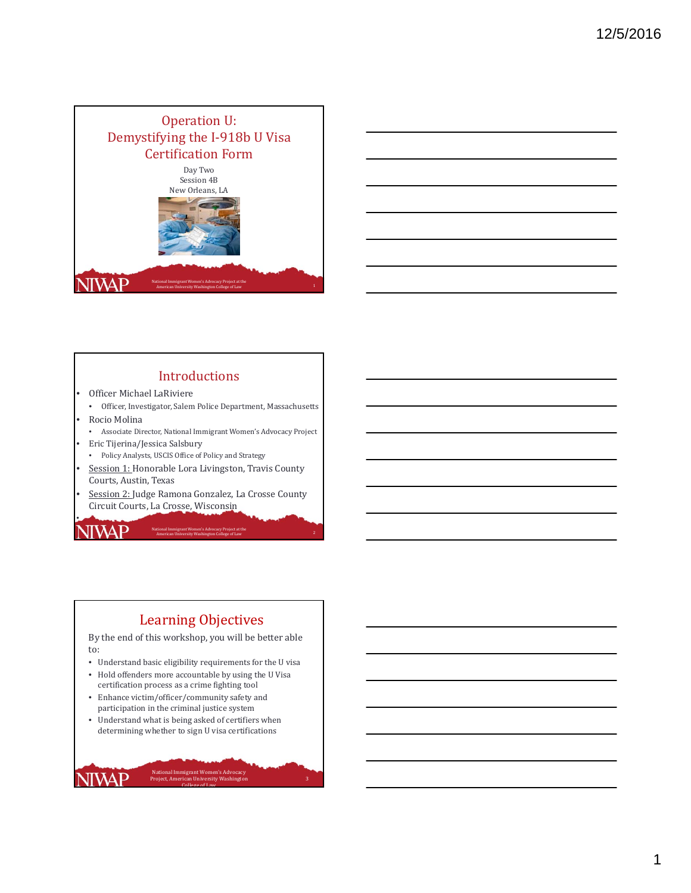



## Introductions

- Officer Michael LaRiviere
- Officer, Investigator, Salem Police Department, Massachusetts • Rocio Molina
- Associate Director, National Immigrant Women's Advocacy Project
- Eric Tijerina/Jessica Salsbury

•

IWAP

**NIVAP** 

- Policy Analysts, USCIS Office of Policy and Strategy
- Session 1: Honorable Lora Livingston, Travis County Courts, Austin, Texas
- Session 2: Judge Ramona Gonzalez, La Crosse County Circuit Courts, La Crosse, Wisconsin

National Immigrant Women's Advocacy Project at the **American University Washington College** of Law 2

## Learning Objectives

By the end of this workshop, you will be better able to:

- $\bullet~$  Understand basic eligibility requirements for the U visa
- Hold offenders more accountable by using the U Visa certification process as a crime fighting tool
- Enhance victim/officer/community safety and participation in the criminal justice system
- Understand what is being asked of certifiers when determining whether to sign U visa certifications

3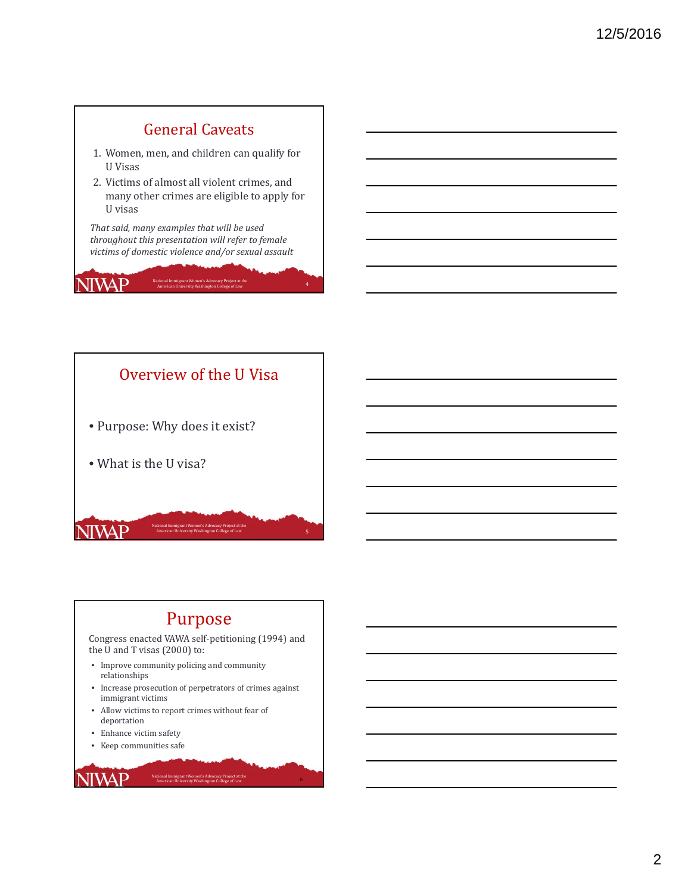# General Caveats

- 1. Women, men, and children can qualify for U Visas
- 2. Victims of almost all violent crimes, and many other crimes are eligible to apply for U visas

*That said, many examples that will be used throughout this presentation will refer to female victims of domestic violence and/or sexual assault*

JIWAP

National Immigrant Women's Advocacy Project at the **American University Washington College** of Law 4 **American University Washington College** of Law 4



# Purpose

Congress enacted VAWA self-petitioning (1994) and the U and T visas  $(2000)$  to:

- Improve community policing and community relationships
- Increase prosecution of perpetrators of crimes against immigrant victims

National Immigrant Women's Advocacy Project at the

American University Washington College of Law 6 (1996) 2014 11:30 (1997) 2014 12:30 (1998) 2014 12:30 (1998) 2014

- Allow victims to report crimes without fear of deportation
- Enhance victim safety
- Keep communities safe

**NIVAP**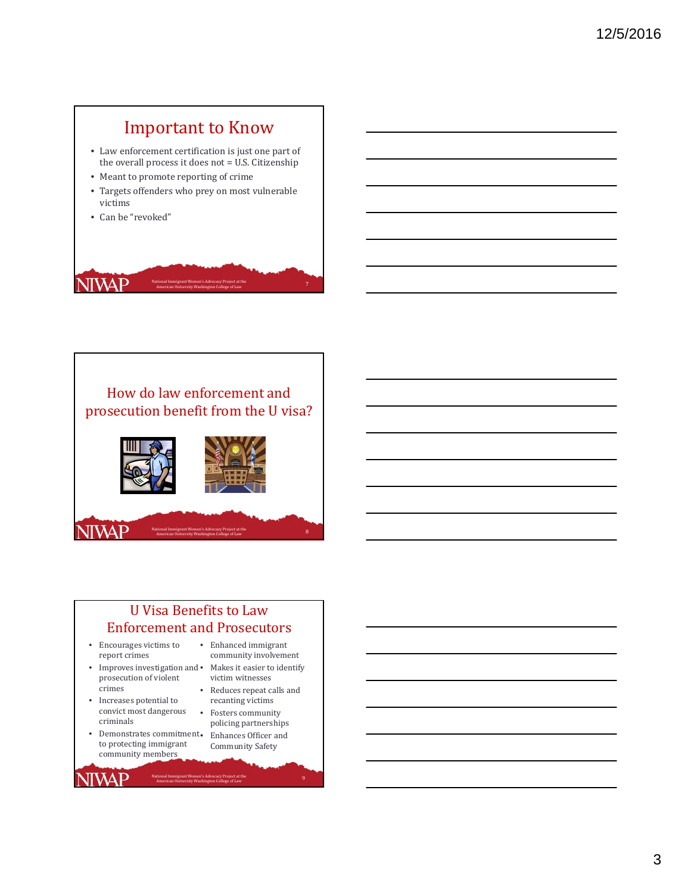# **Important to Know**

- Law enforcement certification is just one part of the overall process it does not  $=$  U.S. Citizenship
- Meant to promote reporting of crime
- Targets offenders who prey on most vulnerable victims
- Can be "revoked"







# U Visa Benefits to Law **Enforcement and Prosecutors**

National Immigrant Women's Advocacy Project at the

- $\bullet$  Encourages victims to report crimes
- $\bullet$  Improves investigation and  $\bullet$ prosecution of violent crimes
- $\bullet$   $\;$  Increases potential to convict most dangerous criminals
- <br> $\bullet$   $\;$  Demonstrates commitment<br>  $\bullet$ to protecting immigrant community members

**NIVAP** 

- Enhanced immigrant community involvement
- Makes it easier to identify victim witnesses
- Reduces repeat calls and recanting victims
- Fosters community policing partnerships Enhances Officer and Community Safety

tional Immigrant Women's Advocacy Project at the Same College of Law 90 (1990) and 20 (1990) and 20 (1990) and<br>American University Washington College of Law 1990 (1990) and 20 (1990) and 20 (1990) and 20 (1990) and 20 (19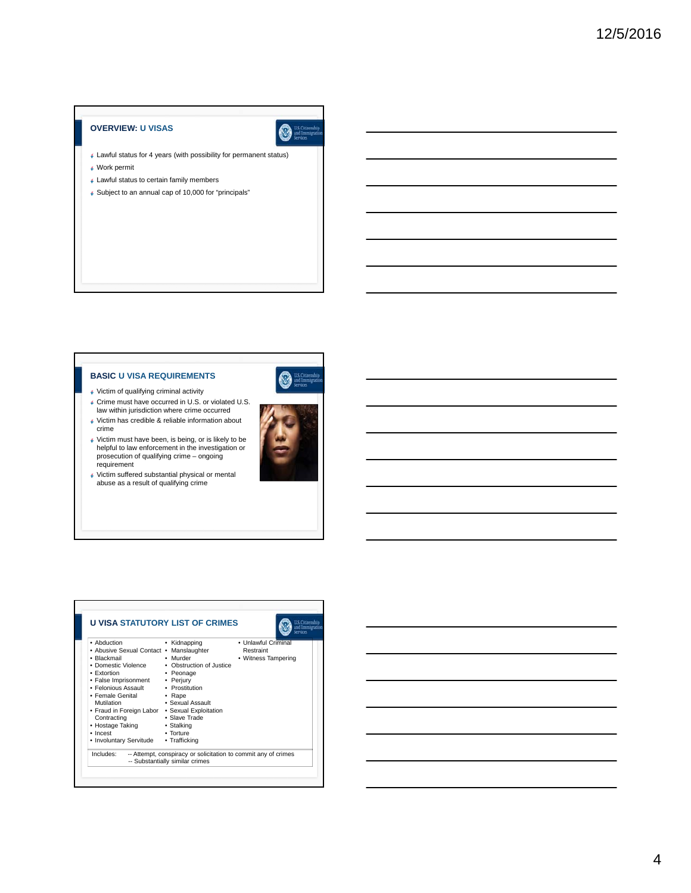## **OVERVIEW: U VISAS**



- Lawful status for 4 years (with possibility for permanent status) Work permit
- Lawful status to certain family members
- Subject to an annual cap of 10,000 for "principals"

## **BASIC U VISA REQUIREMENTS**



- Victim of qualifying criminal activity
- Crime must have occurred in U.S. or violated U.S. law within jurisdiction where crime occurred
- Victim has credible & reliable information about crime
- Victim must have been, is being, or is likely to be helpful to law enforcement in the investigation or prosecution of qualifying crime – ongoing requirement
- Victim suffered substantial physical or mental abuse as a result of qualifying crime



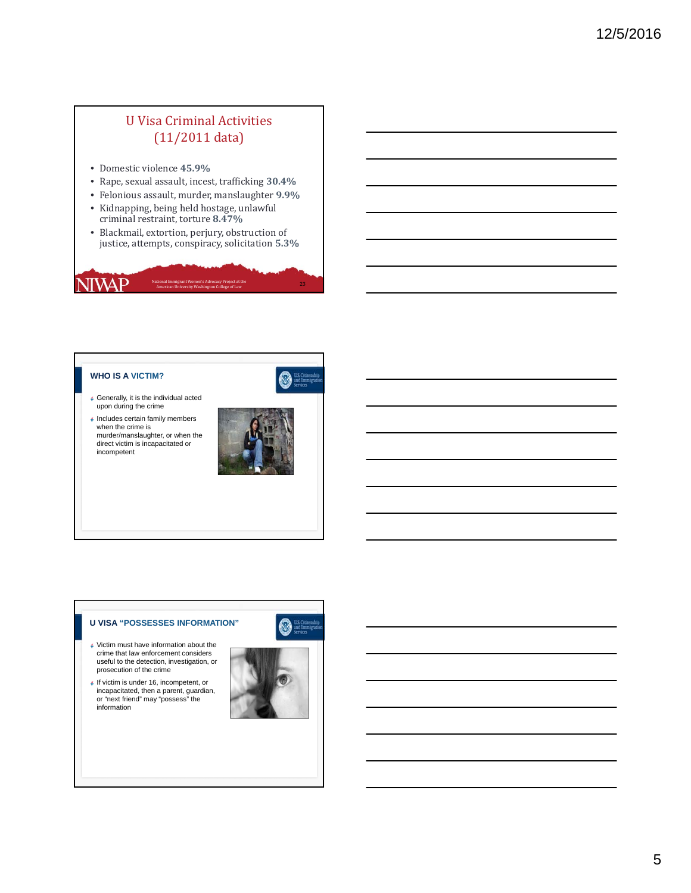# U Visa Criminal Activities  $(11/2011 \text{ data})$

- Domestic violence **45.9%**
- Rape, sexual assault, incest, trafficking **30.4%**
- Felonious assault, murder, manslaughter **9.9%**
- Kidnapping, being held hostage, unlawful criminal restraint, torture **8.47%**
- Blackmail, extortion, perjury, obstruction of justice, attempts, conspiracy, solicitation **5.3%**

National Immigrant Women's Advocacy Project at the **American University Washington College** of Law 23

## **WHO IS A VICTIM?**

**NIVAP** 



- Generally, it is the individual acted upon during the crime
- $\sqrt{\frac{1}{2}}$  Includes certain family members when the crime is murder/manslaughter, or when the direct victim is incapacitated or incompetent



## **U VISA "POSSESSES INFORMATION"**

- Victim must have information about the crime that law enforcement considers useful to the detection, investigation, or prosecution of the crime
- If victim is under 16, incompetent, or incapacitated, then a parent, guardian, or "next friend" may "possess" the information

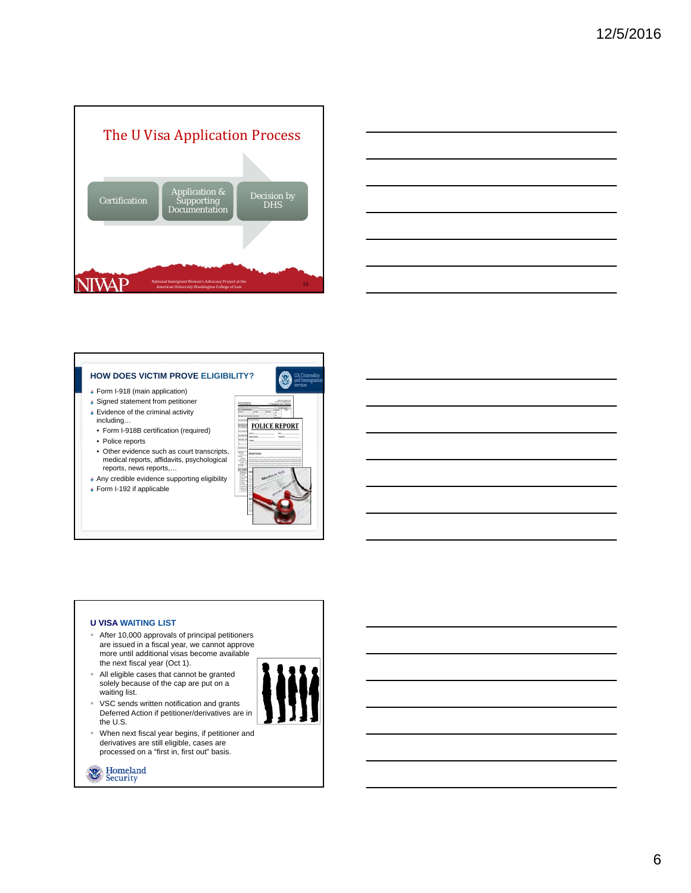



## **HOW DOES VICTIM PROVE ELIGIBILITY?**

- Form I-918 (main application)
- Signed statement from petitioner Evidence of the criminal activity
- including…
- Form I-918B certification (required) • Police reports
- 
- Other evidence such as court transcripts, medical reports, affidavits, psychological reports, news reports,…
- Any credible evidence supporting eligibility
- Form I-192 if applicable



## **U VISA WAITING LIST**

- After 10,000 approvals of principal petitioners are issued in a fiscal year, we cannot approve more until additional visas become available the next fiscal year (Oct 1).
- All eligible cases that cannot be granted solely because of the cap are put on a waiting list. VSC sends written notification and grants
- 
- the U.S. When next fiscal year begins, if petitioner and derivatives are still eligible, cases are processed on a "first in, first out" basis.

Deferred Action if petitioner/derivatives are in

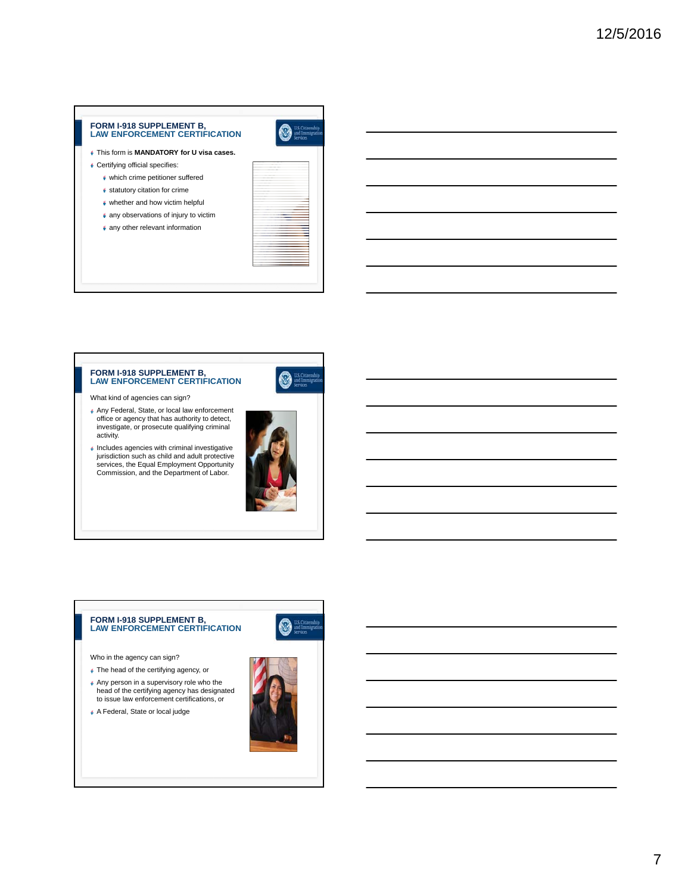## **FORM I-918 SUPPLEMENT B, LAW ENFORCEMENT CERTIFICATION**



- Certifying official specifies:
	- which crime petitioner suffered
	- statutory citation for crime
	- whether and how victim helpful
	- $*$  any observations of injury to victim
	- any other relevant information



 $\mathbb{N}$ 

# **FORM I-918 SUPPLEMENT B, LAW ENFORCEMENT CERTIFICATION**

- What kind of agencies can sign?
- Any Federal, State, or local law enforcement office or agency that has authority to detect, investigate, or prosecute qualifying criminal activity.
- Includes agencies with criminal investigative jurisdiction such as child and adult protective services, the Equal Employment Opportunity Commission, and the Department of Labor.



## **FORM I-918 SUPPLEMENT B, LAW ENFORCEMENT CERTIFICATION**

Who in the agency can sign?

- The head of the certifying agency, or
- Any person in a supervisory role who the head of the certifying agency has designated to issue law enforcement certifications, or
- A Federal, State or local judge



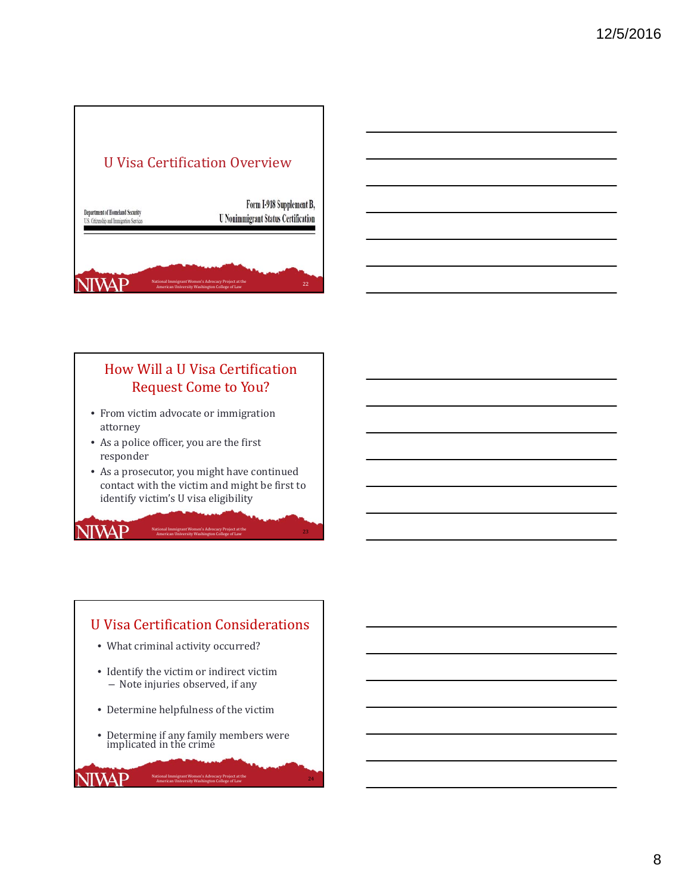



# How Will a U Visa Certification Request Come to You?

- From victim advocate or immigration attorney
- As a police officer, you are the first responder

**NIWAP** 

**NIVAP** 

• As a prosecutor, you might have continued contact with the victim and might be first to identify victim's U visa eligibility

National Immigrant Women's Advocacy Project at the **American University Washington College** of Law American University Washington College of Law

# U Visa Certification Considerations

- What criminal activity occurred?
- Identify the victim or indirect victim - Note injuries observed, if any
- Determine helpfulness of the victim
- Determine if any family members were implicated in the crime

National Immigrant Women's Advocacy Project at the American University Washington College of Law

24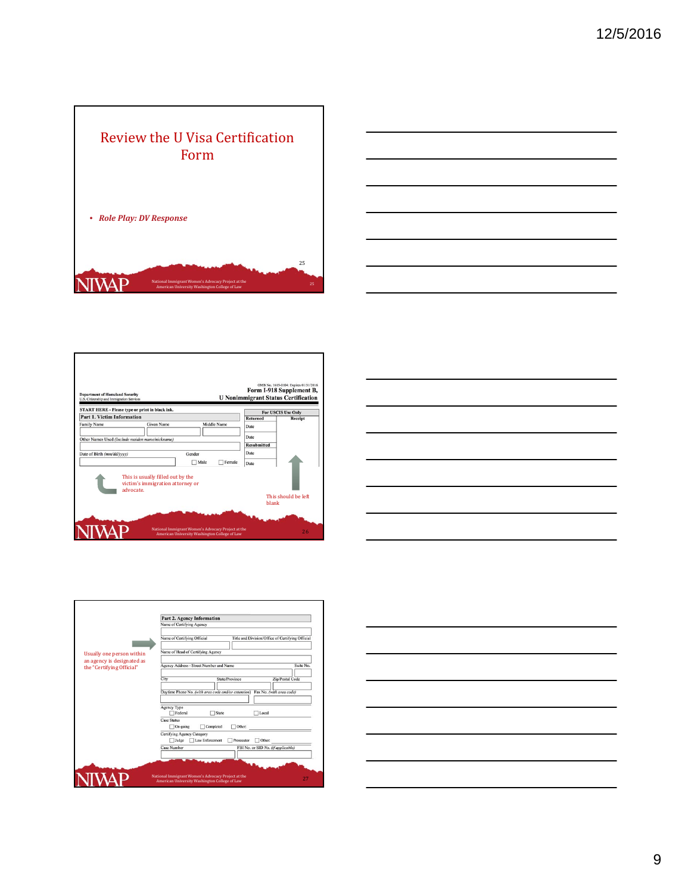



| <b>Department of Homeland Security</b><br>U.S. Citizenship and Immigration Services  |                                                                       | <b>U Nonimmigrant Status Certification</b> | OMB No. 1615-0104: Expires 01/31/2016<br>Form I-918 Supplement B, |
|--------------------------------------------------------------------------------------|-----------------------------------------------------------------------|--------------------------------------------|-------------------------------------------------------------------|
| START HERE - Please type or print in black ink.<br><b>Part 1. Victim Information</b> |                                                                       |                                            | For USCIS Use Only                                                |
| Family Name                                                                          | Given Name<br>Middle Name                                             | <b>Returned</b><br>Date                    | Receipt                                                           |
| Other Names Used (Include maiden name/nickname)                                      |                                                                       | Date                                       |                                                                   |
|                                                                                      |                                                                       | <b>Resubmitted</b>                         |                                                                   |
| Date of Birth (mm/dd/yyyy)                                                           | Gender                                                                | Date                                       |                                                                   |
|                                                                                      | Male<br>Female                                                        | Date                                       |                                                                   |
| advocate.                                                                            | This is usually filled out by the<br>victim's immigration attorney or |                                            | This should be left.                                              |





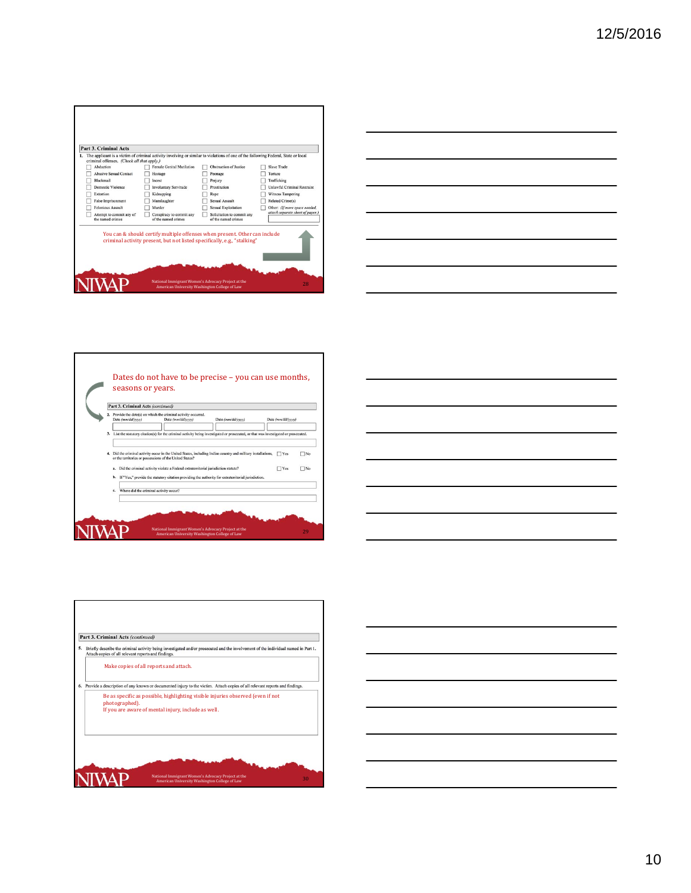| Part 3. Criminal Acts                                   |                                                                          | 1. The applicant is a victim of criminal activity involving or similar to violations of one of the following Federal, State or local |                                  |
|---------------------------------------------------------|--------------------------------------------------------------------------|--------------------------------------------------------------------------------------------------------------------------------------|----------------------------------|
| criminal offenses. (Check all that apply.)<br>Abduction | Female Genital Mutilation                                                | Obstruction of Justice                                                                                                               | Slave Trade                      |
| <b>Abusive Sexual Contact</b>                           | Hostage                                                                  | Peonage                                                                                                                              | Torture                          |
| Blackmail                                               | Incest                                                                   | Periury                                                                                                                              | Trafficking                      |
| Domestic Violence                                       | <b>Involuntary Servitude</b>                                             | Prostitution                                                                                                                         | Unlawful Criminal Restraint      |
| Extortion                                               | Kidnapping                                                               | Rape                                                                                                                                 | Witness Tampering                |
| False Imprisonment                                      | Manslaughter                                                             | Sexual Assault                                                                                                                       | <b>Related Crime(s)</b>          |
| Felonious Assault                                       | Murder                                                                   | <b>Sexual Exploitation</b>                                                                                                           | Other: (If more space needed,    |
| Attempt to commit any of<br>the named crimes            | Conspiracy to commit any<br>of the named crimes                          | Solicitation to commit any<br>of the named crimes                                                                                    |                                  |
|                                                         | criminal activity present, but not listed specifically, e.g., "stalking" | You can & should certify multiple offenses when present. Other can include                                                           | attach separate sheet of paper.) |







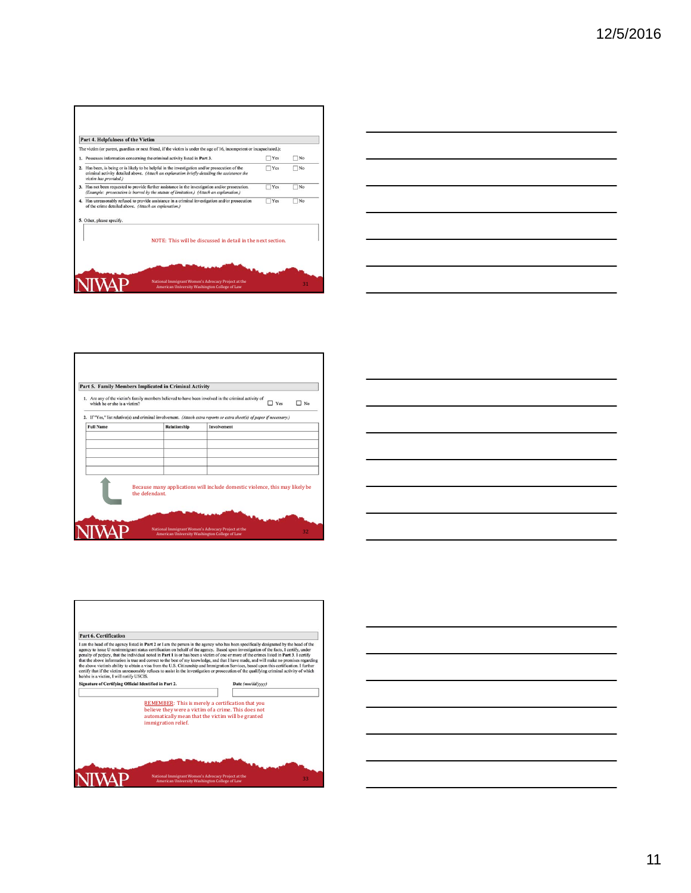11

# **Part 6. Certification**<br>
1**Part 6. Certification**<br>
1**Part 2** or 1 am the person in the agency who has been specifically designated by the head of the<br>
1 am the head of the agency to issue U nonimmigrant status certificati

| which he or she is a victim? |                | п.<br>Yes                                                                                                                              | No |
|------------------------------|----------------|----------------------------------------------------------------------------------------------------------------------------------------|----|
| <b>Full Name</b>             | Relationship   | 2. If "Yes," list relative(s) and criminal involvement. (Attach extra reports or extra sheet(s) of paper if necessary.)<br>Involvement |    |
|                              |                |                                                                                                                                        |    |
|                              |                |                                                                                                                                        |    |
|                              |                |                                                                                                                                        |    |
|                              | the defendant. | Because many applications will include domestic violence, this may likely be                                                           |    |

г

Part 6. Certification

**NIWAP** 

Signature of Certifying Official Identified in Part 2.

REMEMBER: This is merely a certification that you<br>believe they were a victim of a crime. This does not<br>automatically mean that the victim will be granted<br>immigration relief.

National Immigrant Women's Advocacy Project at the **American University Washington College** of Law 33<br>33

Date  $(mm/dd/yyyy)$ T





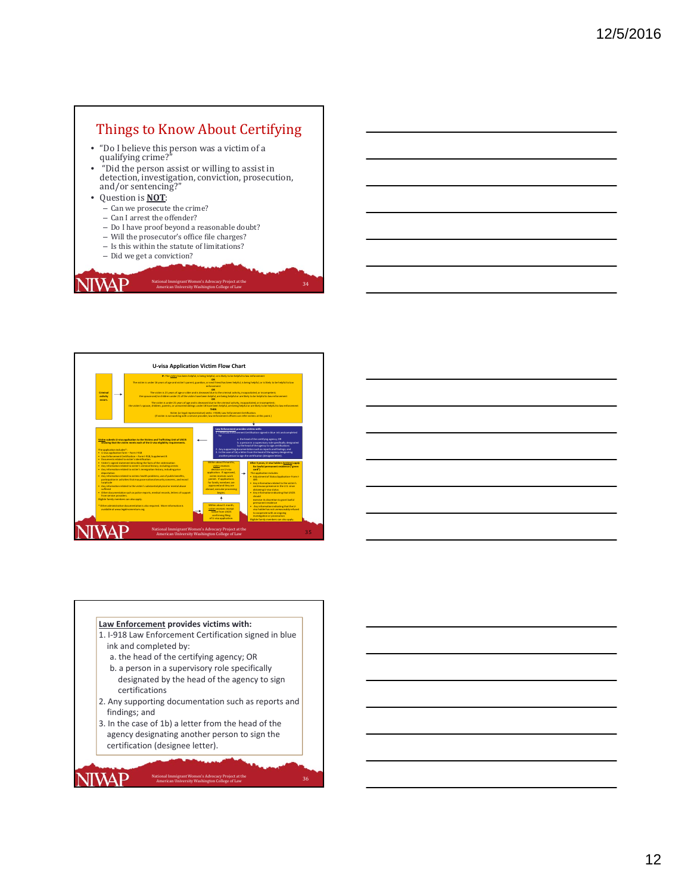# Things to Know About Certifying

- "Do I believe this person was a victim of a qualifying crime?"
- "Did the person assist or willing to assist in detection, investigation, conviction, prosecution,<br>and/or sentencing?"
- Question is **NOT**:

The application includes\*: • U visa application form – Form I‐918 • Law Enforcement Certification – Form I‐918, Supplement B • Documentsrelated to victim's identification • Victim's signed statement describing the facts of the victimization • Any information related to victim's criminal history, including arrests • Any information related to victim's immigration history, including prior

• Any information related to victims health problems, use of public benefits, participation in activities that may pose nationalsecurity concerns, andmoral

• Any information related to the victim's substantial physical or mental abuse

• Other documentation such as police reports, medical records, letters of support

deportation

JIVAP

turpitude

suffered

**NIVAP** 

**NIVAP** 

from service providers. Eligible family members can also apply. \* Other administrative documentation is also required. More information is available at www.legalmomentum.org.

- Can we prosecute the crime?
- Can I arrest the offender?
- $-$  Do I have proof beyond a reasonable doubt?
- Will the prosecutor's office file charges?
- $-$  Is this within the statute of limitations?
- Did we get a conviction?

#### **Criminal activity occurs. Law Enforcement provides victims with:** 1. I‐918 Law Enforcement Certification signed in blue ink and completed a. the head of the certifying agency; OR b. a person in a supervisory role specifically designated **U‐visa Application Victim Flow Chart Victim submits U‐visa application to the Victims and Trafficking Unit of USCIS showing that the victim meets each of the U‐visa eligibility requirements. IF:** The victim has been helpful, is being helpful, or is likely to be helpfulto law enforcement **OR** The victim is under 16 years of age and victim's parent, guardian, or next friend has been helpful, is being helpful, or is likely to be helpful to law enforcement **OR** The victim is 21 years of age or older and is deceased due to the criminal activity, incapacitated, or incompetent; the spouse and/or children under 21 of the victim have been helpful, are being helpful or are likely to be helpful to law enforcement **OR** The victim is under 21 years of age and is deceased due to the criminal activity, incapacitated, or incompetent; the victim's spouse, children, parents, or unmarried siblings under 18 have been helpful, are being helpful or are likely to be helpful to law enforcement **THEN** Victim (or legal representative) seeks I‐918B, Law Enforcement Certification. (if victim is not working with a service provider, law enforcement officers can refer victims at this point.)

Within about 9 months, victim receives decision on U‐visa application. If approved, victim receives work permit. If applications for family members are approved and they are abroad, consular processing begins.

Within about 1 month, victim receives receipt notice from USCIS confirming filing of U‐visa application. National Immigrant Women's Advocacy Project at the<br>35 American University Washington College of Law

National Immigrant Women's Advocacy Project at the

utonal immigrant women's Auvocacy Project at the Same School (State School 24) 34<br>American University Washington College of Law (State School 20) 34

by the head of the agency to sign certifications 2. Any supporting documentation such asreports and findings; and 3. In the case of 1b) a letter from the head of the agency designating another person to sign the certification (designee letter).

> **After 3 years, U‐visa holders(victims) apply for lawful permanent residence ("green card")** The application includes: • Adjustmentof Status Application‐ Form I‐ 485 • Any information related to the victim's continuous presence in the U.S. since obtainingU‐visa status • Any information indicating that USCIS should exercise its discretion to grant lawful permanentresidence • Any information indicating that the U‐ visa holder has not unreasonably refused to cooperate with an ongoing investigation or prosecution Eligible family members can also apply.



## **Law Enforcement provides victims with:**

1. I‐918 Law Enforcement Certification signed in blue ink and completed by:

American University Washington College of Law

- a. the head of the certifying agency; OR
- b. a person in a supervisory role specifically designated by the head of the agency to sign certifications
- 2. Any supporting documentation such as reports and findings; and

National Immigrant Women's Advocacy Project at the

tional immigrant women's Advocacy Project at the Same College of Law 36<br>American University Washington College of Law 36

3. In the case of 1b) a letter from the head of the agency designating another person to sign the certification (designee letter).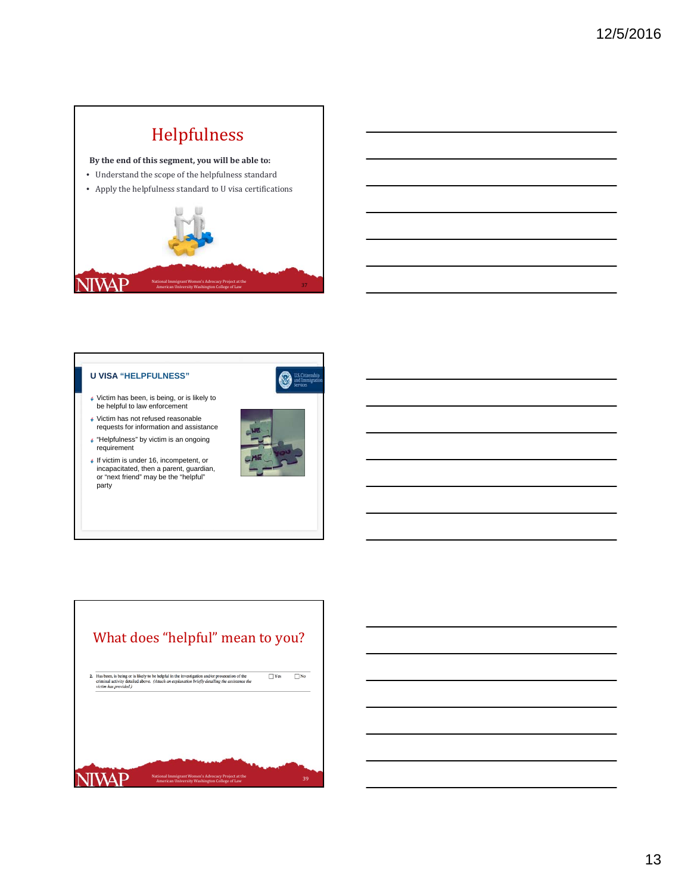# Helpfulness

**By the end of this segment, you will be able to:**

- Understand the scope of the helpfulness standard
- Apply the helpfulness standard to U visa certifications



## **U VISA "HELPFULNESS"**



- Victim has been, is being, or is likely to be helpful to law enforcement
- Victim has not refused reasonable requests for information and assistance
- "Helpfulness" by victim is an ongoing requirement
- If victim is under 16, incompetent, or incapacitated, then a parent, guardian, or "next friend" may be the "helpful" party





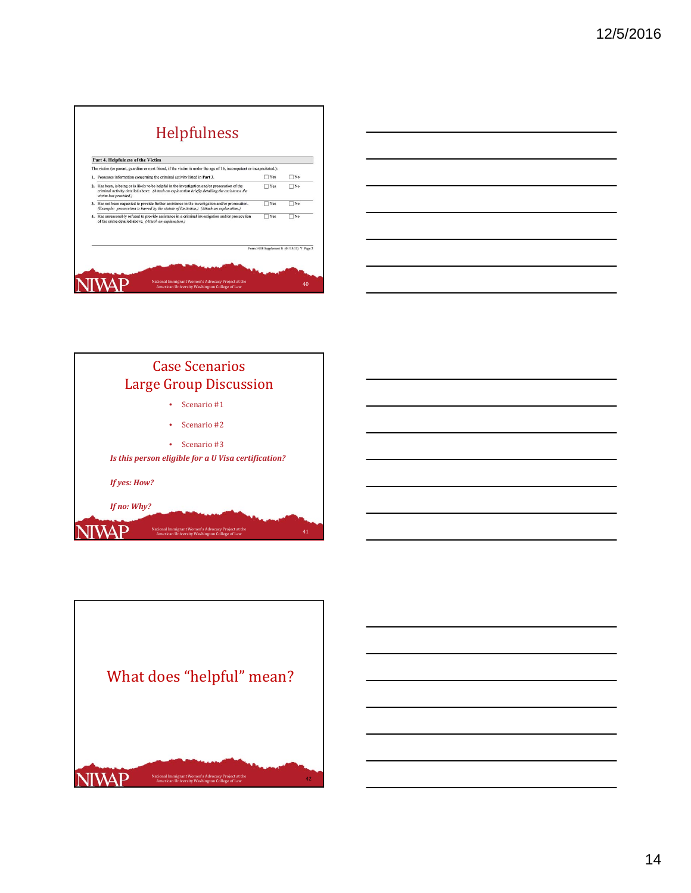| Part 4. Helpfulness of the Victim                                                                                                                                                                                         |                                             |           |
|---------------------------------------------------------------------------------------------------------------------------------------------------------------------------------------------------------------------------|---------------------------------------------|-----------|
| The victim (or parent, guardian or next friend, if the victim is under the age of 16, incompetent or incapacitated.):                                                                                                     |                                             |           |
| 1. Possesses information concerning the criminal activity listed in Part 3.                                                                                                                                               | <b>TYes</b>                                 | $\Box$ No |
| 2. Has been, is being or is likely to be helpful in the investigation and/or prosecution of the<br>criminal activity detailed above. (Attach an explanation briefly detailing the assistance the<br>victim has provided.) | $\Box$ Yes                                  | $\neg$ No |
| 3. Has not been requested to provide further assistance in the investigation and/or prosecution.<br>(Example: prosecution is barred by the statute of limitation.) (Attach an explanation.)                               | $\Box$ Yes                                  | $\neg$ No |
| 4. Has unreasonably refused to provide assistance in a criminal investigation and/or prosecution<br>of the crime detailed above. (Attach an explanation.)                                                                 | Yes                                         | $\Box$ No |
|                                                                                                                                                                                                                           | Form I-918 Supplement B (01/15/13) Y Page 2 |           |

| the control of the control of the control of the control of the control of |  |  |
|----------------------------------------------------------------------------|--|--|



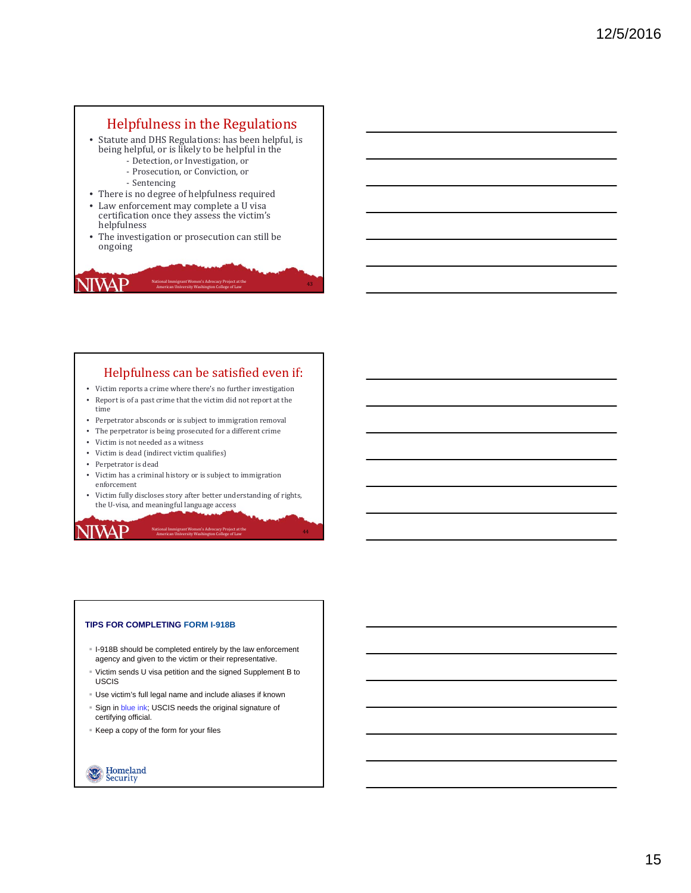# Helpfulness in the Regulations

- Statute and DHS Regulations: has been helpful, is being helpful, or is likely to be helpful in the
	- Detection, or Investigation, or
	- Prosecution, or Conviction, or
	- ‐ Sentencing
- There is no degree of helpfulness required
- Law enforcement may complete a U visa certification once they assess the victim's helpfulness
- The investigation or prosecution can still be ongoing

National Immigrant Women's Advocacy Project at the American University Washington College of Law

## Helpfulness can be satisfied even if:

43

- Victim reports a crime where there's no further investigation • Report is of a past crime that the victim did not report at the
- time
- Perpetrator absconds or is subject to immigration removal
- The perpetrator is being prosecuted for a different crime
- $\bullet$  Victim is not needed as a witness
- Victim is dead (indirect victim qualifies)
- Perpetrator is dead

JIWAP

- Victim has a criminal history or is subject to immigration enforcement
- $\bullet~$  Victim fully discloses story after better understanding of rights, the U-visa, and meaningful language access

National Immigrant Women's Advocacy Project at the American University Washington College of Law 44

**ITVAP** 

## **TIPS FOR COMPLETING FORM I-918B**

- I-918B should be completed entirely by the law enforcement agency and given to the victim or their representative.
- Victim sends U visa petition and the signed Supplement B to USCIS
- Use victim's full legal name and include aliases if known
- Sign in blue ink; USCIS needs the original signature of certifying official.
- Keep a copy of the form for your files

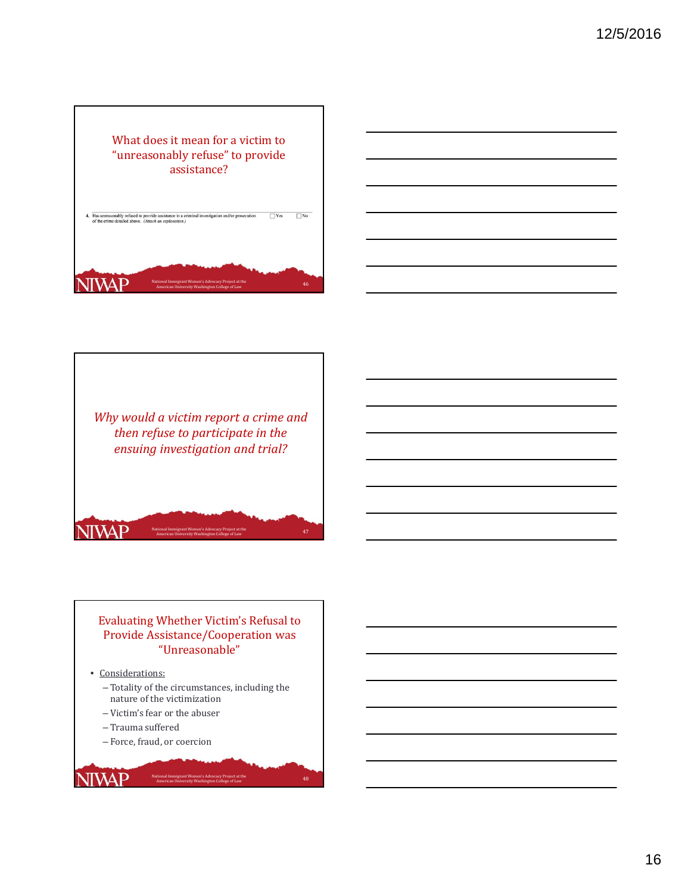





National Immigrant Women's Advocacy Project at the **American University Washington College** of Law 47

National Immigrant Women's Advocacy Project at the<br>American University Washington College of Law

## Evaluating Whether Victim's Refusal to Provide Assistance/Cooperation was "Unreasonable"

• Considerations:

**NIVAP** 

**NIWAP** 

- Totality of the circumstances, including the nature of the victimization

American University Washington College of Law

- Victim's fear or the abuser
- Trauma suffered
- Force, fraud, or coercion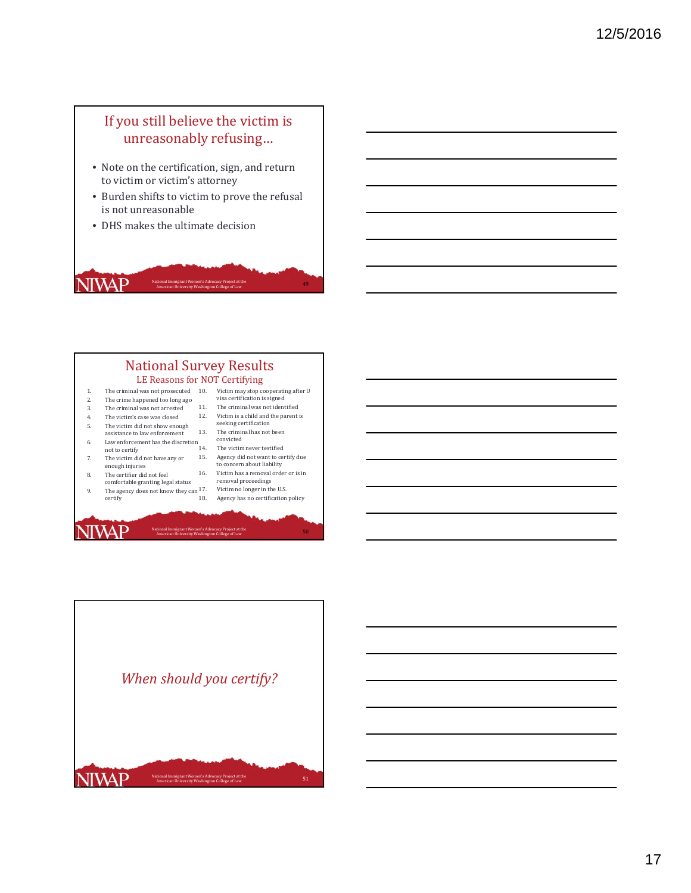# If you still believe the victim is unreasonably refusing...

- Note on the certification, sign, and return to victim or victim's attorney
- Burden shifts to victim to prove the refusal is not unreasonable
- DHS makes the ultimate decision

# **NIVAP** Mational Immigrant Women's Advocacy Project at the **American University Washington College** of Law American University Washington College of Law

#### **National Survey Results** LE Reasons for NOT Certifying 1. The criminal was not prosecuted 10.<br>2. The crime happened too long ago The crime happened too long ago 3. The criminal was not arrested 4. The victim's case was closed 5. The victim did not show enough assistance to law enforcement 6. Law enforcement has the discretion<br>not to certify 7. The victim did not have any or enough injuries 8. The certifier did not feel comfortable granting legal status 9. The agency does not know they can  $17$ . 10. Victim may stop cooperating after U<br>visa certification is signed 11. The criminal was not identified 12. Victim is a child and the parent is seeking certification 13. The criminal has not been convicted The victim never testified 15. Agency did not want to certify due to concern about liability 16. Victim has a removal order or is in removal proceedings Victim no longer in the U.S.

18. Agency has no certification policy

National Immigrant Women's Advocacy Project at the **American University Washington College** of Law 50 american University Washington College of Law 50 american University Washington College of Law 50 american University Wa

certify

**NIVAP** 

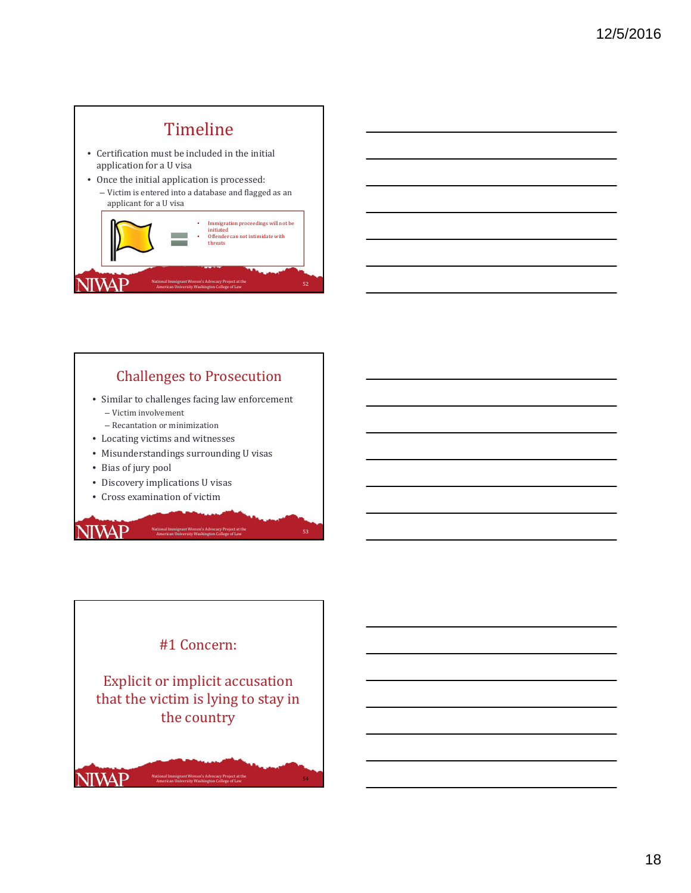

# **Challenges to Prosecution**

- Similar to challenges facing law enforcement – Victim involvement
	- Recantation or minimization
- Locating victims and witnesses
- Misunderstandings surrounding U visas
- Bias of jury pool
- Discovery implications U visas
- Cross examination of victim

# **NIVAP**



National Immigrant Women's Advocacy Project at the **American University Washington College** of Law 53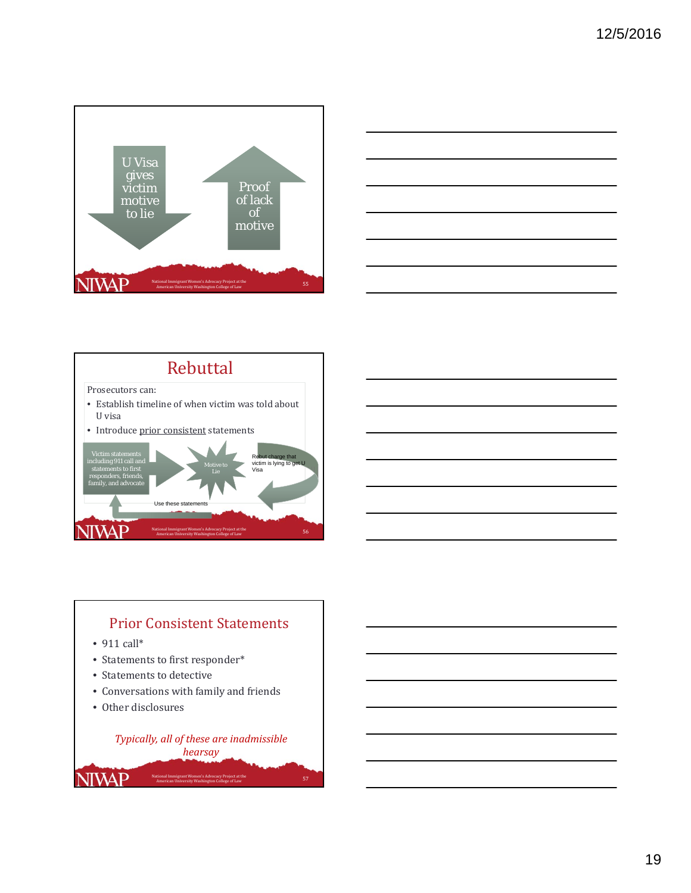





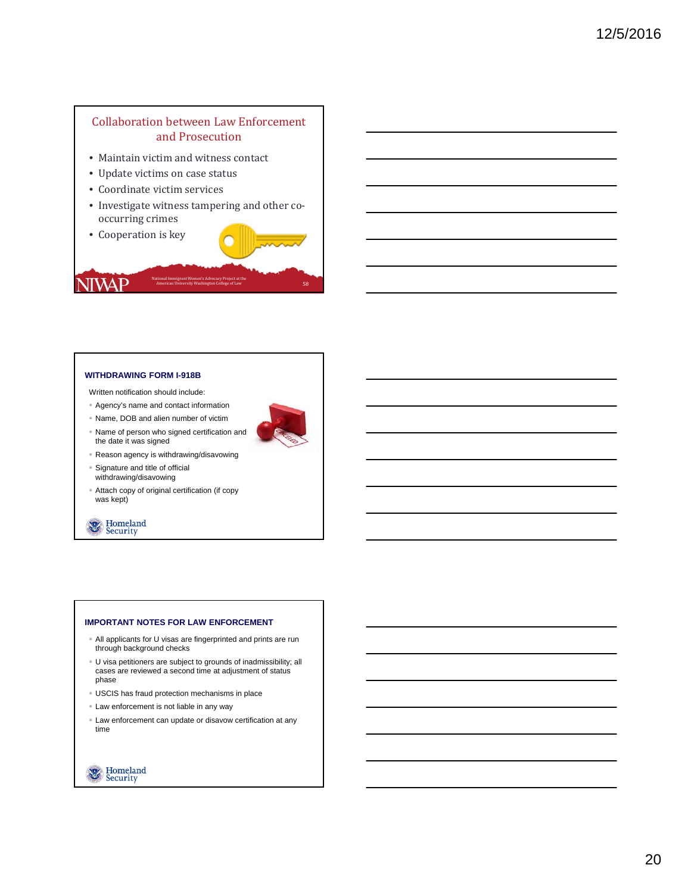## Collaboration between Law Enforcement and Prosecution

- Maintain victim and witness contact
- Update victims on case status
- Coordinate victim services
- Investigate witness tampering and other cooccurring crimes
- Cooperation is key

**NIVAP** 



## **WITHDRAWING FORM I-918B**

Written notification should include:

- Agency's name and contact information
- Name, DOB and alien number of victim
- Name of person who signed certification and the date it was signed

Reason agency is withdrawing/disavowing

- Signature and title of official withdrawing/disavowing
- Attach copy of original certification (if copy was kept)



## **IMPORTANT NOTES FOR LAW ENFORCEMENT**

- All applicants for U visas are fingerprinted and prints are run through background checks
- U visa petitioners are subject to grounds of inadmissibility; all cases are reviewed a second time at adjustment of status phase
- USCIS has fraud protection mechanisms in place
- Law enforcement is not liable in any way
- Law enforcement can update or disavow certification at any time

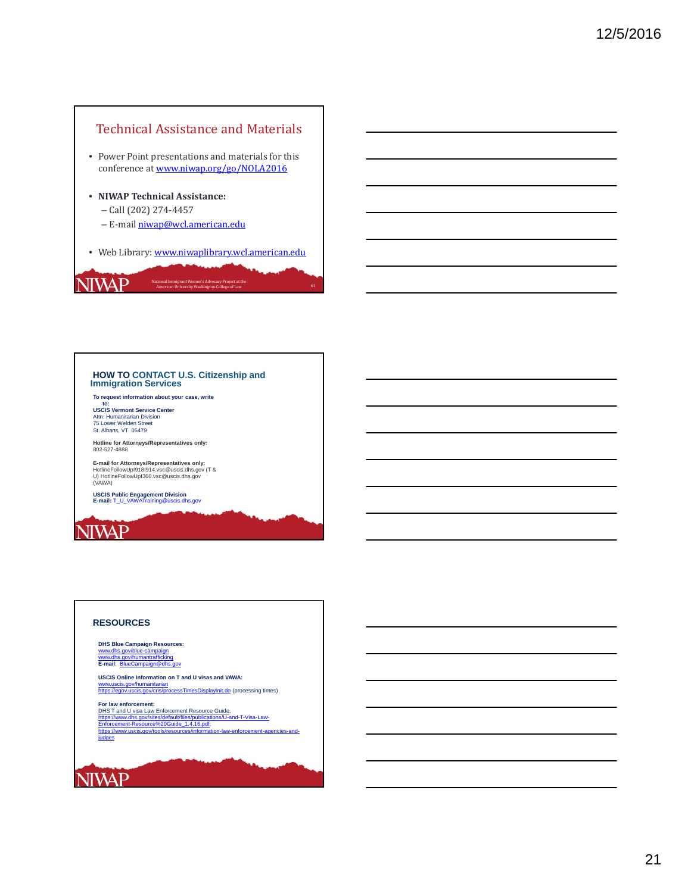

# **HOW TO CONTACT U.S. Citizenship and Immigration Services**

**To request information about your case, write** 

**to:<br>USCIS Vermont Service Center**<br>Attn: Humanitarian Division<br>75 Lower Welden Street<br>St. Albans, VT 05479

**Hotline for Attorneys/Representatives only:**  802-527-4888

**E-mail for Attorneys/Representatives only:**<br>HotlineFollowUpI918I914.vsc@uscis.dhs.gov (T &<br>U) HotlineFollowUpI360.vsc@uscis.dhs.gov<br>(VAWA)

**USCIS Public Engagement Division E-mail:** T\_U\_VAWATraining@uscis.dhs.gov

# **NIVAP**

## **RESOURCES**

**DHS Blue Campaign Resources:** www.dhs.gov/blue-campaign www.dhs.gov/humantrafficking **E-mail**: BlueCampaign@dhs.gov

**USCIS Online Information on T and U visas and VAWA:**<br><u>www.uscis.gov/humanitarian</u><br><u>https://egov.uscis.gov/cris/processTimesDisplayInit.do</u> (processing times)

**For law enforcement:** 

DHS T and U visa Law Enforcement Resource Guide,<br>https://www.dhs.gov/sites/default/files/publications/U-and-T-Visa-Law-<br>Enforcement-Resource%20Guide\_1.4.16.pdf;<br>https://www.uscis.gov/tools/resources/information-law-enforce

judges

# **NIVAP**

21